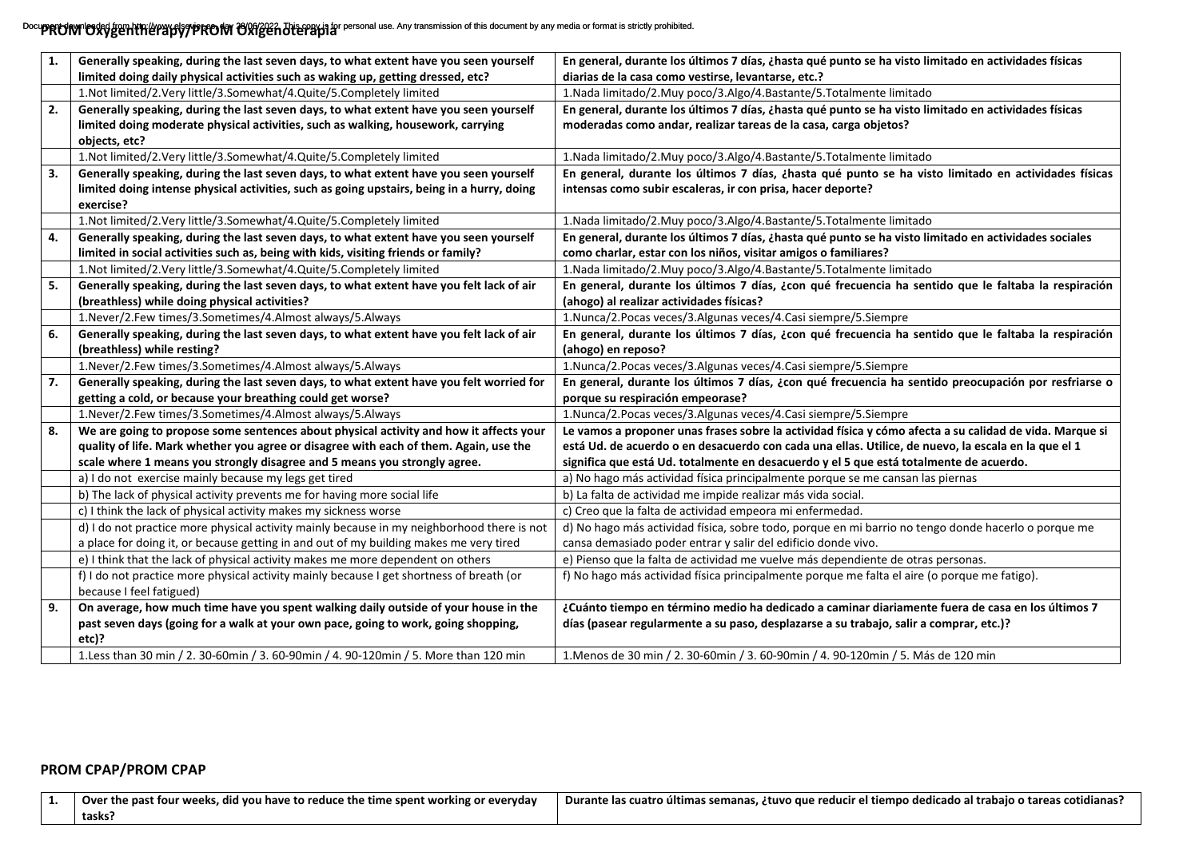Docu**pPRUNVIOXYGETHERAPY/PROM OXIGET Die provis for personal use. Any transmission of this document by any media or format is strictly prohibited.** 

| 1. | Generally speaking, during the last seven days, to what extent have you seen yourself      | En general, durante los últimos 7 días, ¿hasta qué punto se ha visto limitado en actividades físicas    |
|----|--------------------------------------------------------------------------------------------|---------------------------------------------------------------------------------------------------------|
|    | limited doing daily physical activities such as waking up, getting dressed, etc?           | diarias de la casa como vestirse, levantarse, etc.?                                                     |
|    | 1.Not limited/2.Very little/3.Somewhat/4.Quite/5.Completely limited                        | 1. Nada limitado/2. Muy poco/3. Algo/4. Bastante/5. Totalmente limitado                                 |
| 2. | Generally speaking, during the last seven days, to what extent have you seen yourself      | En general, durante los últimos 7 días, ¿hasta qué punto se ha visto limitado en actividades físicas    |
|    | limited doing moderate physical activities, such as walking, housework, carrying           | moderadas como andar, realizar tareas de la casa, carga objetos?                                        |
|    | objects, etc?                                                                              |                                                                                                         |
|    | 1.Not limited/2.Very little/3.Somewhat/4.Quite/5.Completely limited                        | 1. Nada limitado/2. Muy poco/3. Algo/4. Bastante/5. Totalmente limitado                                 |
| 3. | Generally speaking, during the last seven days, to what extent have you seen yourself      | En general, durante los últimos 7 días, ¿hasta qué punto se ha visto limitado en actividades físicas    |
|    | limited doing intense physical activities, such as going upstairs, being in a hurry, doing | intensas como subir escaleras, ir con prisa, hacer deporte?                                             |
|    | exercise?                                                                                  |                                                                                                         |
|    | 1.Not limited/2.Very little/3.Somewhat/4.Quite/5.Completely limited                        | 1. Nada limitado/2. Muy poco/3. Algo/4. Bastante/5. Totalmente limitado                                 |
| 4. | Generally speaking, during the last seven days, to what extent have you seen yourself      | En general, durante los últimos 7 días, ¿hasta qué punto se ha visto limitado en actividades sociales   |
|    | limited in social activities such as, being with kids, visiting friends or family?         | como charlar, estar con los niños, visitar amigos o familiares?                                         |
|    | 1.Not limited/2.Very little/3.Somewhat/4.Quite/5.Completely limited                        | 1. Nada limitado/2. Muy poco/3. Algo/4. Bastante/5. Totalmente limitado                                 |
| 5. | Generally speaking, during the last seven days, to what extent have you felt lack of air   | En general, durante los últimos 7 días, ¿con qué frecuencia ha sentido que le faltaba la respiración    |
|    | (breathless) while doing physical activities?                                              | (ahogo) al realizar actividades físicas?                                                                |
|    | 1.Never/2.Few times/3.Sometimes/4.Almost always/5.Always                                   | 1. Nunca/2. Pocas veces/3. Algunas veces/4. Casi siempre/5. Siempre                                     |
| 6. | Generally speaking, during the last seven days, to what extent have you felt lack of air   | En general, durante los últimos 7 días, ¿con qué frecuencia ha sentido que le faltaba la respiración    |
|    | (breathless) while resting?                                                                | (ahogo) en reposo?                                                                                      |
|    | 1.Never/2.Few times/3.Sometimes/4.Almost always/5.Always                                   | 1. Nunca/2. Pocas veces/3. Algunas veces/4. Casi siempre/5. Siempre                                     |
| 7. | Generally speaking, during the last seven days, to what extent have you felt worried for   | En general, durante los últimos 7 días, ¿con qué frecuencia ha sentido preocupación por resfriarse o    |
|    | getting a cold, or because your breathing could get worse?                                 | porque su respiración empeorase?                                                                        |
|    | 1.Never/2.Few times/3.Sometimes/4.Almost always/5.Always                                   | 1. Nunca/2. Pocas veces/3. Algunas veces/4. Casi siempre/5. Siempre                                     |
| 8. | We are going to propose some sentences about physical activity and how it affects your     | Le vamos a proponer unas frases sobre la actividad física y cómo afecta a su calidad de vida. Marque si |
|    | quality of life. Mark whether you agree or disagree with each of them. Again, use the      | está Ud. de acuerdo o en desacuerdo con cada una ellas. Utilice, de nuevo, la escala en la que el 1     |
|    | scale where 1 means you strongly disagree and 5 means you strongly agree.                  | significa que está Ud. totalmente en desacuerdo y el 5 que está totalmente de acuerdo.                  |
|    | a) I do not exercise mainly because my legs get tired                                      | a) No hago más actividad física principalmente porque se me cansan las piernas                          |
|    | b) The lack of physical activity prevents me for having more social life                   | b) La falta de actividad me impide realizar más vida social.                                            |
|    | c) I think the lack of physical activity makes my sickness worse                           | c) Creo que la falta de actividad empeora mi enfermedad.                                                |
|    | d) I do not practice more physical activity mainly because in my neighborhood there is not | d) No hago más actividad física, sobre todo, porque en mi barrio no tengo donde hacerlo o porque me     |
|    | a place for doing it, or because getting in and out of my building makes me very tired     | cansa demasiado poder entrar y salir del edificio donde vivo.                                           |
|    | e) I think that the lack of physical activity makes me more dependent on others            | e) Pienso que la falta de actividad me vuelve más dependiente de otras personas.                        |
|    | f) I do not practice more physical activity mainly because I get shortness of breath (or   | f) No hago más actividad física principalmente porque me falta el aire (o porque me fatigo).            |
|    | because I feel fatigued)                                                                   |                                                                                                         |
| 9. | On average, how much time have you spent walking daily outside of your house in the        | ¿Cuánto tiempo en término medio ha dedicado a caminar diariamente fuera de casa en los últimos 7        |
|    | past seven days (going for a walk at your own pace, going to work, going shopping,         | días (pasear regularmente a su paso, desplazarse a su trabajo, salir a comprar, etc.)?                  |
|    | etc)?                                                                                      |                                                                                                         |
|    | 1.Less than 30 min / 2. 30-60min / 3. 60-90min / 4. 90-120min / 5. More than 120 min       | 1. Menos de 30 min / 2. 30-60min / 3. 60-90min / 4. 90-120min / 5. Más de 120 min                       |

## **PROM CPAP/PROM CPAP**

| ↑ Over the past four weeks, did you have to reduce the time spent working or everyday | l Durante las cuatro últimas semanas, ¿tuvo que reducir el tiempo dedicado al trabajo o tareas cotidianas? |
|---------------------------------------------------------------------------------------|------------------------------------------------------------------------------------------------------------|
| tasks:                                                                                |                                                                                                            |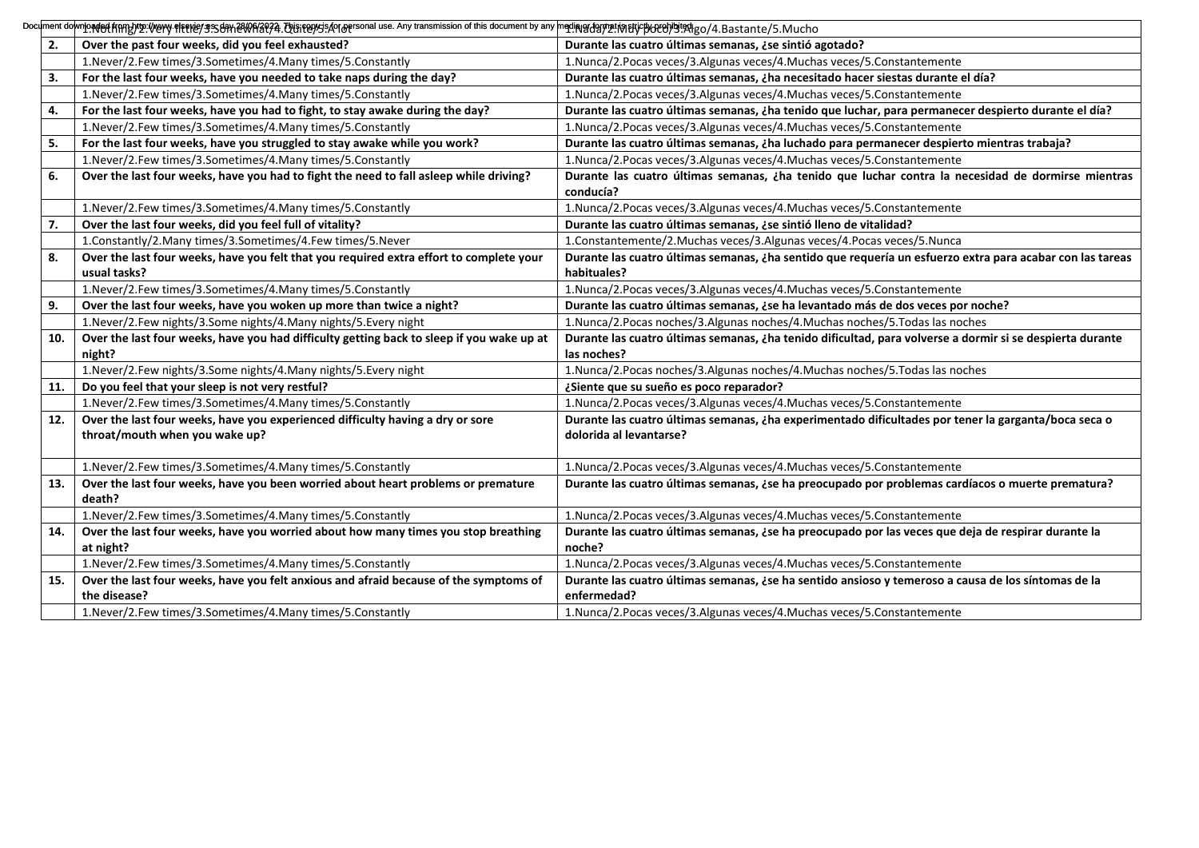|     | Document downher enthyling /hery #herley ss38th 은WP/2924. The reepts Ao Toersonal use. Any transmission of this document by any marin advanced the document by any marin and marin and property and the document by any marin |                                                                                                                                 |
|-----|-------------------------------------------------------------------------------------------------------------------------------------------------------------------------------------------------------------------------------|---------------------------------------------------------------------------------------------------------------------------------|
| 2.  | Over the past four weeks, did you feel exhausted?                                                                                                                                                                             | Durante las cuatro últimas semanas, ¿se sintió agotado?                                                                         |
|     | 1. Never/2. Few times/3. Sometimes/4. Many times/5. Constantly                                                                                                                                                                | 1.Nunca/2.Pocas veces/3.Algunas veces/4.Muchas veces/5.Constantemente                                                           |
| 3.  | For the last four weeks, have you needed to take naps during the day?                                                                                                                                                         | Durante las cuatro últimas semanas, ¿ha necesitado hacer siestas durante el día?                                                |
|     | 1. Never/2. Few times/3. Sometimes/4. Many times/5. Constantly                                                                                                                                                                | 1.Nunca/2.Pocas veces/3.Algunas veces/4.Muchas veces/5.Constantemente                                                           |
| 4.  | For the last four weeks, have you had to fight, to stay awake during the day?                                                                                                                                                 | Durante las cuatro últimas semanas, ¿ha tenido que luchar, para permanecer despierto durante el día?                            |
|     | 1. Never/2. Few times/3. Sometimes/4. Many times/5. Constantly                                                                                                                                                                | 1. Nunca/2. Pocas veces/3. Algunas veces/4. Muchas veces/5. Constantemente                                                      |
| 5.  | For the last four weeks, have you struggled to stay awake while you work?                                                                                                                                                     | Durante las cuatro últimas semanas, ¿ha luchado para permanecer despierto mientras trabaja?                                     |
|     | 1. Never/2. Few times/3. Sometimes/4. Many times/5. Constantly                                                                                                                                                                | 1. Nunca/2. Pocas veces/3. Algunas veces/4. Muchas veces/5. Constantemente                                                      |
| 6.  | Over the last four weeks, have you had to fight the need to fall asleep while driving?                                                                                                                                        | Durante las cuatro últimas semanas, ¿ha tenido que luchar contra la necesidad de dormirse mientras<br>conducía?                 |
|     | 1. Never/2. Few times/3. Sometimes/4. Many times/5. Constantly                                                                                                                                                                | 1. Nunca/2. Pocas veces/3. Algunas veces/4. Muchas veces/5. Constantemente                                                      |
| 7.  | Over the last four weeks, did you feel full of vitality?                                                                                                                                                                      | Durante las cuatro últimas semanas, ¿se sintió lleno de vitalidad?                                                              |
|     | 1.Constantly/2.Many times/3.Sometimes/4.Few times/5.Never                                                                                                                                                                     | 1.Constantemente/2.Muchas veces/3.Algunas veces/4.Pocas veces/5.Nunca                                                           |
| 8.  | Over the last four weeks, have you felt that you required extra effort to complete your<br>usual tasks?                                                                                                                       | Durante las cuatro últimas semanas, ¿ha sentido que requería un esfuerzo extra para acabar con las tareas<br>habituales?        |
|     | 1. Never/2. Few times/3. Sometimes/4. Many times/5. Constantly                                                                                                                                                                | 1.Nunca/2.Pocas veces/3.Algunas veces/4.Muchas veces/5.Constantemente                                                           |
| 9.  | Over the last four weeks, have you woken up more than twice a night?                                                                                                                                                          | Durante las cuatro últimas semanas, ¿se ha levantado más de dos veces por noche?                                                |
|     | 1. Never/2. Few nights/3. Some nights/4. Many nights/5. Every night                                                                                                                                                           | 1.Nunca/2.Pocas noches/3.Algunas noches/4.Muchas noches/5.Todas las noches                                                      |
| 10. | Over the last four weeks, have you had difficulty getting back to sleep if you wake up at<br>night?                                                                                                                           | Durante las cuatro últimas semanas, ¿ha tenido dificultad, para volverse a dormir si se despierta durante<br>las noches?        |
|     | 1. Never/2. Few nights/3. Some nights/4. Many nights/5. Every night                                                                                                                                                           | 1.Nunca/2.Pocas noches/3.Algunas noches/4.Muchas noches/5.Todas las noches                                                      |
| 11. | Do you feel that your sleep is not very restful?                                                                                                                                                                              | ¿Siente que su sueño es poco reparador?                                                                                         |
|     | 1. Never/2. Few times/3. Sometimes/4. Many times/5. Constantly                                                                                                                                                                | 1.Nunca/2.Pocas veces/3.Algunas veces/4.Muchas veces/5.Constantemente                                                           |
| 12. | Over the last four weeks, have you experienced difficulty having a dry or sore<br>throat/mouth when you wake up?                                                                                                              | Durante las cuatro últimas semanas, ¿ha experimentado dificultades por tener la garganta/boca seca o<br>dolorida al levantarse? |
|     | 1. Never/2. Few times/3. Sometimes/4. Many times/5. Constantly                                                                                                                                                                | 1.Nunca/2.Pocas veces/3.Algunas veces/4.Muchas veces/5.Constantemente                                                           |
| 13. | Over the last four weeks, have you been worried about heart problems or premature<br>death?                                                                                                                                   | Durante las cuatro últimas semanas, ¿se ha preocupado por problemas cardíacos o muerte prematura?                               |
|     | 1. Never/2. Few times/3. Sometimes/4. Many times/5. Constantly                                                                                                                                                                | 1. Nunca/2. Pocas veces/3. Algunas veces/4. Muchas veces/5. Constantemente                                                      |
| 14. | Over the last four weeks, have you worried about how many times you stop breathing<br>at night?                                                                                                                               | Durante las cuatro últimas semanas, ¿se ha preocupado por las veces que deja de respirar durante la<br>noche?                   |
|     | 1. Never/2. Few times/3. Sometimes/4. Many times/5. Constantly                                                                                                                                                                | 1.Nunca/2.Pocas veces/3.Algunas veces/4.Muchas veces/5.Constantemente                                                           |
| 15. | Over the last four weeks, have you felt anxious and afraid because of the symptoms of<br>the disease?                                                                                                                         | Durante las cuatro últimas semanas, ¿se ha sentido ansioso y temeroso a causa de los síntomas de la<br>enfermedad?              |
|     | 1. Never/2. Few times/3. Sometimes/4. Many times/5. Constantly                                                                                                                                                                | 1.Nunca/2.Pocas veces/3.Algunas veces/4.Muchas veces/5.Constantemente                                                           |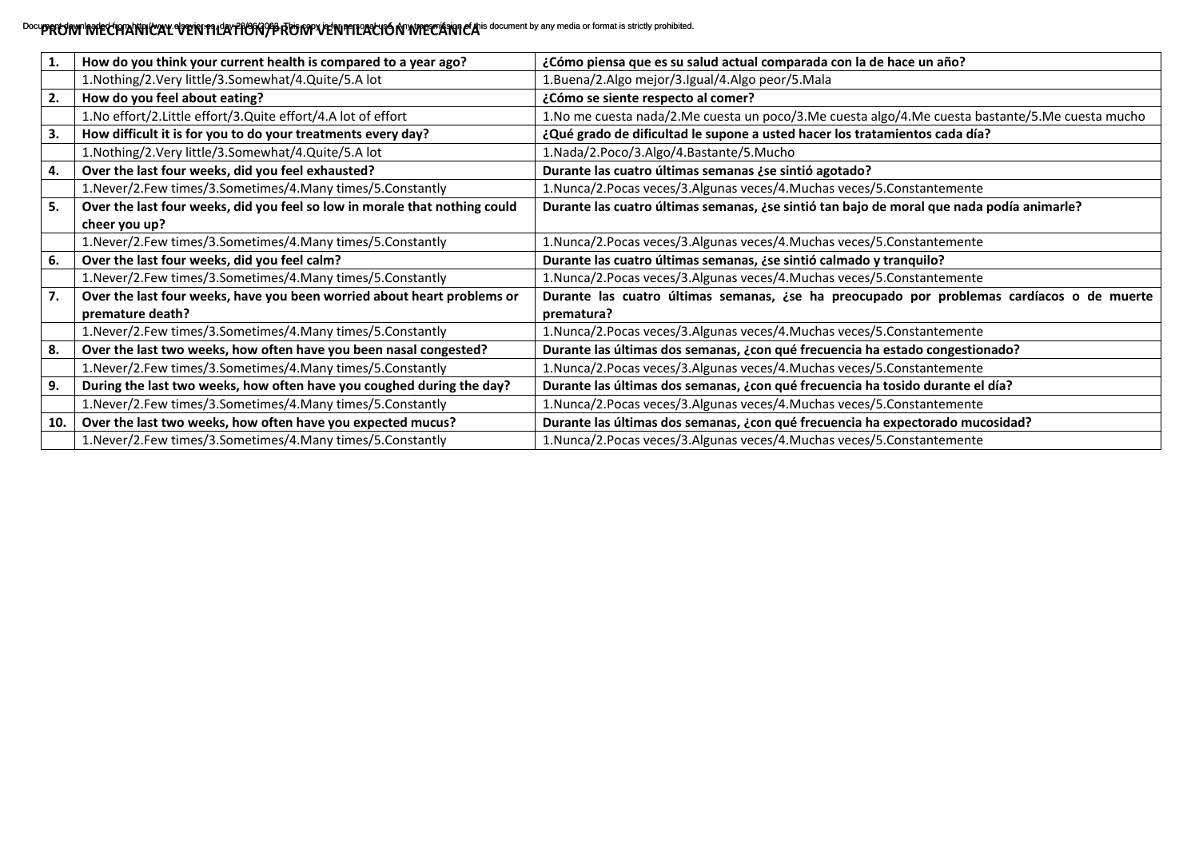## Docu**pPRUWMMPRIEUPPANTHCAL VENTILATHONIPPRUWWENFILALIONWFECANT CA** is document by any media or format is strictly prohibited.

|     | How do you think your current health is compared to a year ago?                             | ¿Cómo piensa que es su salud actual comparada con la de hace un año?                                    |
|-----|---------------------------------------------------------------------------------------------|---------------------------------------------------------------------------------------------------------|
|     | 1.Nothing/2.Very little/3.Somewhat/4.Quite/5.A lot                                          | 1.Buena/2.Algo mejor/3.Igual/4.Algo peor/5.Mala                                                         |
| 2.  | How do you feel about eating?                                                               | ¿Cómo se siente respecto al comer?                                                                      |
|     | 1. No effort/2. Little effort/3. Quite effort/4. A lot of effort                            | 1. No me cuesta nada/2. Me cuesta un poco/3. Me cuesta algo/4. Me cuesta bastante/5. Me cuesta mucho    |
| 3.  | How difficult it is for you to do your treatments every day?                                | ¿Qué grado de dificultad le supone a usted hacer los tratamientos cada día?                             |
|     | 1.Nothing/2.Very little/3.Somewhat/4.Quite/5.A lot                                          | 1.Nada/2.Poco/3.Algo/4.Bastante/5.Mucho                                                                 |
| 4.  | Over the last four weeks, did you feel exhausted?                                           | Durante las cuatro últimas semanas ¿se sintió agotado?                                                  |
|     | 1. Never/2. Few times/3. Sometimes/4. Many times/5. Constantly                              | 1.Nunca/2.Pocas veces/3.Algunas veces/4.Muchas veces/5.Constantemente                                   |
| 5.  | Over the last four weeks, did you feel so low in morale that nothing could<br>cheer you up? | Durante las cuatro últimas semanas, ¿se sintió tan bajo de moral que nada podía animarle?               |
|     | 1. Never/2. Few times/3. Sometimes/4. Many times/5. Constantly                              | 1.Nunca/2.Pocas veces/3.Algunas veces/4.Muchas veces/5.Constantemente                                   |
| 6.  | Over the last four weeks, did you feel calm?                                                | Durante las cuatro últimas semanas, ¿se sintió calmado y tranquilo?                                     |
|     | 1. Never/2. Few times/3. Sometimes/4. Many times/5. Constantly                              | 1.Nunca/2.Pocas veces/3.Algunas veces/4.Muchas veces/5.Constantemente                                   |
| 7.  | Over the last four weeks, have you been worried about heart problems or<br>premature death? | Durante las cuatro últimas semanas, ¿se ha preocupado por problemas cardíacos o de muerte<br>prematura? |
|     | 1. Never/2. Few times/3. Sometimes/4. Many times/5. Constantly                              | 1.Nunca/2.Pocas veces/3.Algunas veces/4.Muchas veces/5.Constantemente                                   |
| 8.  | Over the last two weeks, how often have you been nasal congested?                           | Durante las últimas dos semanas, ¿con qué frecuencia ha estado congestionado?                           |
|     | 1. Never/2. Few times/3. Sometimes/4. Many times/5. Constantly                              | 1.Nunca/2.Pocas veces/3.Algunas veces/4.Muchas veces/5.Constantemente                                   |
| 9.  | During the last two weeks, how often have you coughed during the day?                       | Durante las últimas dos semanas, ¿con qué frecuencia ha tosido durante el día?                          |
|     | 1. Never/2. Few times/3. Sometimes/4. Many times/5. Constantly                              | 1.Nunca/2.Pocas veces/3.Algunas veces/4.Muchas veces/5.Constantemente                                   |
| 10. | Over the last two weeks, how often have you expected mucus?                                 | Durante las últimas dos semanas, ¿con qué frecuencia ha expectorado mucosidad?                          |
|     | 1. Never/2. Few times/3. Sometimes/4. Many times/5. Constantly                              | 1. Nunca/2. Pocas veces/3. Algunas veces/4. Muchas veces/5. Constantemente                              |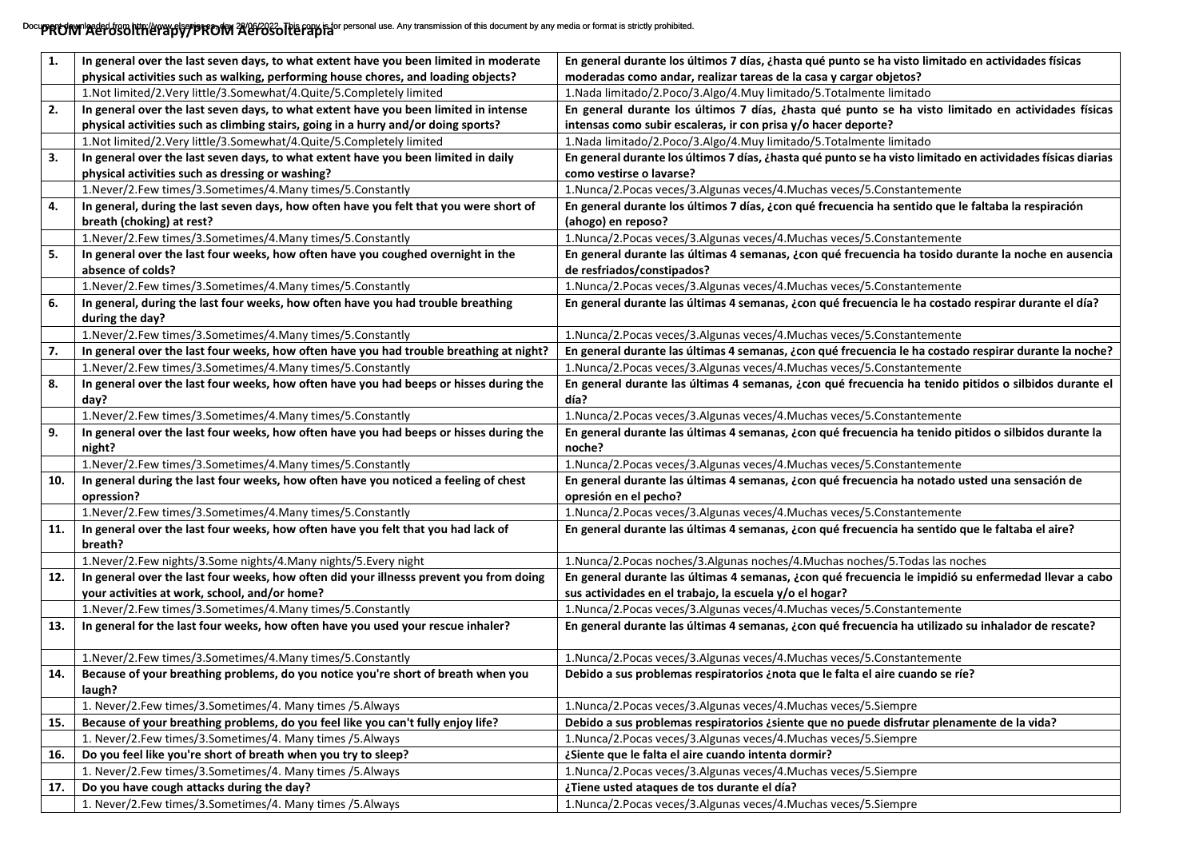## Docu**pPROM AerosOltherapy/PROM A**@MCCOTERTY personal use. Any transmission of this document by any media or format is strictly prohibited.

| 1.  | In general over the last seven days, to what extent have you been limited in moderate               | En general durante los últimos 7 días, ¿hasta qué punto se ha visto limitado en actividades físicas                     |
|-----|-----------------------------------------------------------------------------------------------------|-------------------------------------------------------------------------------------------------------------------------|
|     | physical activities such as walking, performing house chores, and loading objects?                  | moderadas como andar, realizar tareas de la casa y cargar objetos?                                                      |
|     | 1.Not limited/2.Very little/3.Somewhat/4.Quite/5.Completely limited                                 | 1. Nada limitado/2. Poco/3. Algo/4. Muy limitado/5. Totalmente limitado                                                 |
| 2.  | In general over the last seven days, to what extent have you been limited in intense                | En general durante los últimos 7 días, ¿hasta qué punto se ha visto limitado en actividades físicas                     |
|     | physical activities such as climbing stairs, going in a hurry and/or doing sports?                  | intensas como subir escaleras, ir con prisa y/o hacer deporte?                                                          |
|     | 1.Not limited/2.Very little/3.Somewhat/4.Quite/5.Completely limited                                 | 1. Nada limitado/2. Poco/3. Algo/4. Muy limitado/5. Totalmente limitado                                                 |
| 3.  | In general over the last seven days, to what extent have you been limited in daily                  | En general durante los últimos 7 días, ¿hasta qué punto se ha visto limitado en actividades físicas diarias             |
|     | physical activities such as dressing or washing?                                                    | como vestirse o lavarse?                                                                                                |
|     | 1. Never/2. Few times/3. Sometimes/4. Many times/5. Constantly                                      | 1.Nunca/2.Pocas veces/3.Algunas veces/4.Muchas veces/5.Constantemente                                                   |
| 4.  | In general, during the last seven days, how often have you felt that you were short of              | En general durante los últimos 7 días, ¿con qué frecuencia ha sentido que le faltaba la respiración                     |
|     | breath (choking) at rest?                                                                           | (ahogo) en reposo?                                                                                                      |
|     | 1. Never/2. Few times/3. Sometimes/4. Many times/5. Constantly                                      | 1.Nunca/2.Pocas veces/3.Algunas veces/4.Muchas veces/5.Constantemente                                                   |
| 5.  | In general over the last four weeks, how often have you coughed overnight in the                    | En general durante las últimas 4 semanas, ¿con qué frecuencia ha tosido durante la noche en ausencia                    |
|     | absence of colds?                                                                                   | de resfriados/constipados?                                                                                              |
|     | 1. Never/2. Few times/3. Sometimes/4. Many times/5. Constantly                                      | 1.Nunca/2.Pocas veces/3.Algunas veces/4.Muchas veces/5.Constantemente                                                   |
| 6.  | In general, during the last four weeks, how often have you had trouble breathing<br>during the day? | En general durante las últimas 4 semanas, ¿con qué frecuencia le ha costado respirar durante el día?                    |
|     | 1. Never/2. Few times/3. Sometimes/4. Many times/5. Constantly                                      | 1. Nunca/2. Pocas veces/3. Algunas veces/4. Muchas veces/5. Constantemente                                              |
| 7.  | In general over the last four weeks, how often have you had trouble breathing at night?             | En general durante las últimas 4 semanas, ¿con qué frecuencia le ha costado respirar durante la noche?                  |
|     | 1. Never/2. Few times/3. Sometimes/4. Many times/5. Constantly                                      | 1. Nunca/2. Pocas veces/3. Algunas veces/4. Muchas veces/5. Constantemente                                              |
| 8.  | In general over the last four weeks, how often have you had beeps or hisses during the<br>day?      | En general durante las últimas 4 semanas, ¿con qué frecuencia ha tenido pitidos o silbidos durante el<br>día?           |
|     | 1. Never/2. Few times/3. Sometimes/4. Many times/5. Constantly                                      | 1.Nunca/2.Pocas veces/3.Algunas veces/4.Muchas veces/5.Constantemente                                                   |
| 9.  | In general over the last four weeks, how often have you had beeps or hisses during the              | En general durante las últimas 4 semanas, ¿con qué frecuencia ha tenido pitidos o silbidos durante la                   |
|     | night?                                                                                              | noche?                                                                                                                  |
|     | 1. Never/2. Few times/3. Sometimes/4. Many times/5. Constantly                                      | 1.Nunca/2.Pocas veces/3.Algunas veces/4.Muchas veces/5.Constantemente                                                   |
| 10. | In general during the last four weeks, how often have you noticed a feeling of chest<br>opression?  | En general durante las últimas 4 semanas, ¿con qué frecuencia ha notado usted una sensación de<br>opresión en el pecho? |
|     | 1. Never/2. Few times/3. Sometimes/4. Many times/5. Constantly                                      | 1.Nunca/2.Pocas veces/3.Algunas veces/4.Muchas veces/5.Constantemente                                                   |
| 11. | In general over the last four weeks, how often have you felt that you had lack of<br>breath?        | En general durante las últimas 4 semanas, ¿con qué frecuencia ha sentido que le faltaba el aire?                        |
|     | 1. Never/2. Few nights/3. Some nights/4. Many nights/5. Every night                                 | 1.Nunca/2.Pocas noches/3.Algunas noches/4.Muchas noches/5.Todas las noches                                              |
| 12. | In general over the last four weeks, how often did your illnesss prevent you from doing             | En general durante las últimas 4 semanas, ¿con qué frecuencia le impidió su enfermedad llevar a cabo                    |
|     | your activities at work, school, and/or home?                                                       | sus actividades en el trabajo, la escuela y/o el hogar?                                                                 |
|     | 1. Never/2. Few times/3. Sometimes/4. Many times/5. Constantly                                      | 1.Nunca/2.Pocas veces/3.Algunas veces/4.Muchas veces/5.Constantemente                                                   |
| 13. | In general for the last four weeks, how often have you used your rescue inhaler?                    | En general durante las últimas 4 semanas, ¿con qué frecuencia ha utilizado su inhalador de rescate?                     |
|     | 1. Never/2. Few times/3. Sometimes/4. Many times/5. Constantly                                      | 1.Nunca/2.Pocas veces/3.Algunas veces/4.Muchas veces/5.Constantemente                                                   |
| 14. | Because of your breathing problems, do you notice you're short of breath when you                   | Debido a sus problemas respiratorios ¿nota que le falta el aire cuando se ríe?                                          |
|     | laugh?                                                                                              |                                                                                                                         |
|     | 1. Never/2.Few times/3.Sometimes/4. Many times /5.Always                                            | 1. Nunca/2. Pocas veces/3. Algunas veces/4. Muchas veces/5. Siempre                                                     |
| 15. | Because of your breathing problems, do you feel like you can't fully enjoy life?                    | Debido a sus problemas respiratorios ¿siente que no puede disfrutar plenamente de la vida?                              |
|     | 1. Never/2.Few times/3.Sometimes/4. Many times /5.Always                                            | 1. Nunca/2. Pocas veces/3. Algunas veces/4. Muchas veces/5. Siempre                                                     |
| 16. | Do you feel like you're short of breath when you try to sleep?                                      | ¿Siente que le falta el aire cuando intenta dormir?                                                                     |
|     | 1. Never/2. Few times/3. Sometimes/4. Many times / 5. Always                                        | 1. Nunca/2. Pocas veces/3. Algunas veces/4. Muchas veces/5. Siempre                                                     |
| 17. | Do you have cough attacks during the day?                                                           | ¿Tiene usted ataques de tos durante el día?                                                                             |
|     | 1. Never/2.Few times/3.Sometimes/4. Many times /5.Always                                            | 1. Nunca/2. Pocas veces/3. Algunas veces/4. Muchas veces/5. Siempre                                                     |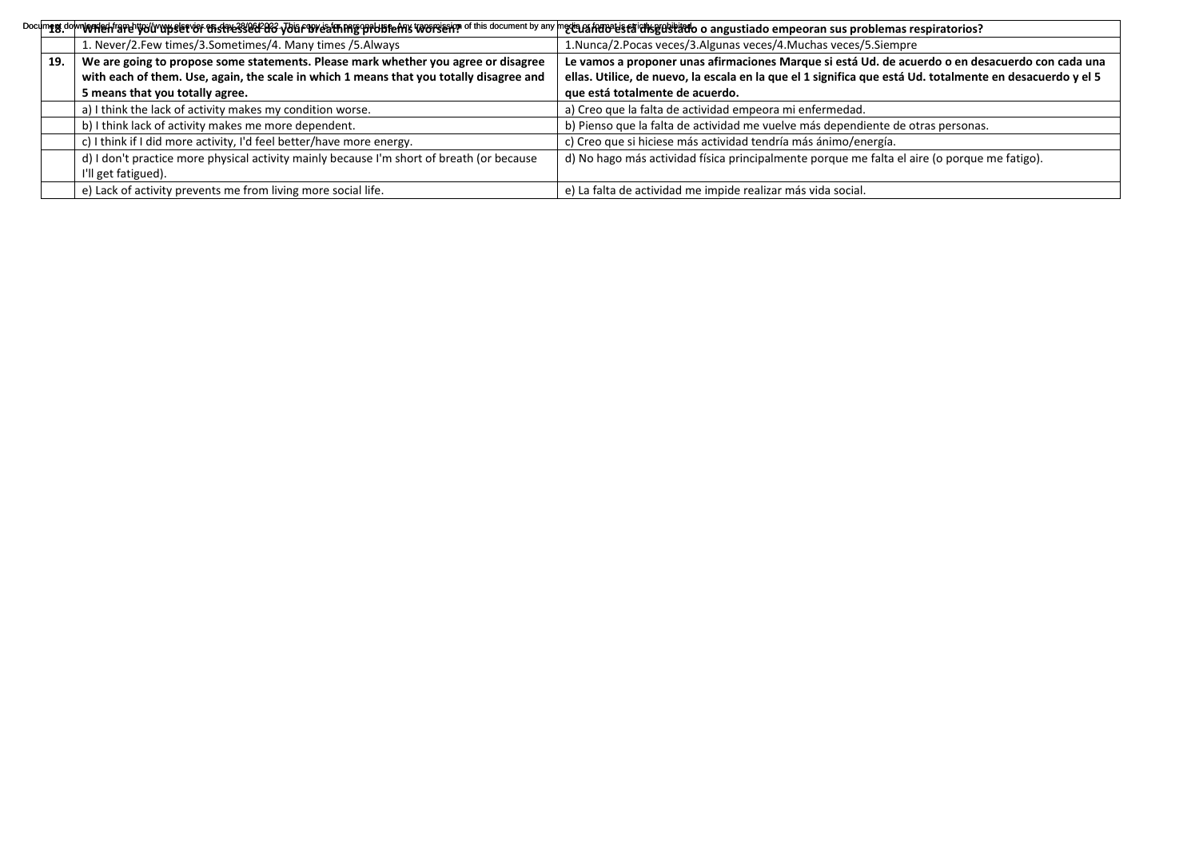|     | Doclimgg.dolwiWAYeHf19PelWdVYYySletY8F thsfNe33/eGPGYG yDiaF19YeafthMgYpPbBfeANs VGY879eHpp of this document by any meta.afAfRBPelsfaTd1%gQIslEddo a angustiado empeoran sus problemas respiratorios? |                                                                                                           |
|-----|-------------------------------------------------------------------------------------------------------------------------------------------------------------------------------------------------------|-----------------------------------------------------------------------------------------------------------|
|     | 1. Never/2.Few times/3.Sometimes/4. Many times /5.Always                                                                                                                                              | 1. Nunca/2. Pocas veces/3. Algunas veces/4. Muchas veces/5. Siempre                                       |
| 19. | We are going to propose some statements. Please mark whether you agree or disagree                                                                                                                    | Le vamos a proponer unas afirmaciones Marque si está Ud. de acuerdo o en desacuerdo con cada una          |
|     | with each of them. Use, again, the scale in which 1 means that you totally disagree and                                                                                                               | ellas. Utilice, de nuevo, la escala en la que el 1 significa que está Ud. totalmente en desacuerdo y el 5 |
|     | 5 means that you totally agree.                                                                                                                                                                       | que está totalmente de acuerdo.                                                                           |
|     | a) I think the lack of activity makes my condition worse.                                                                                                                                             | a) Creo que la falta de actividad empeora mi enfermedad.                                                  |
|     | b) I think lack of activity makes me more dependent.                                                                                                                                                  | b) Pienso que la falta de actividad me vuelve más dependiente de otras personas.                          |
|     | c) I think if I did more activity, I'd feel better/have more energy.                                                                                                                                  | c) Creo que si hiciese más actividad tendría más ánimo/energía.                                           |
|     | d) I don't practice more physical activity mainly because I'm short of breath (or because                                                                                                             | d) No hago más actividad física principalmente porque me falta el aire (o porque me fatigo).              |
|     | I'll get fatigued).                                                                                                                                                                                   |                                                                                                           |
|     | e) Lack of activity prevents me from living more social life.                                                                                                                                         | e) La falta de actividad me impide realizar más vida social.                                              |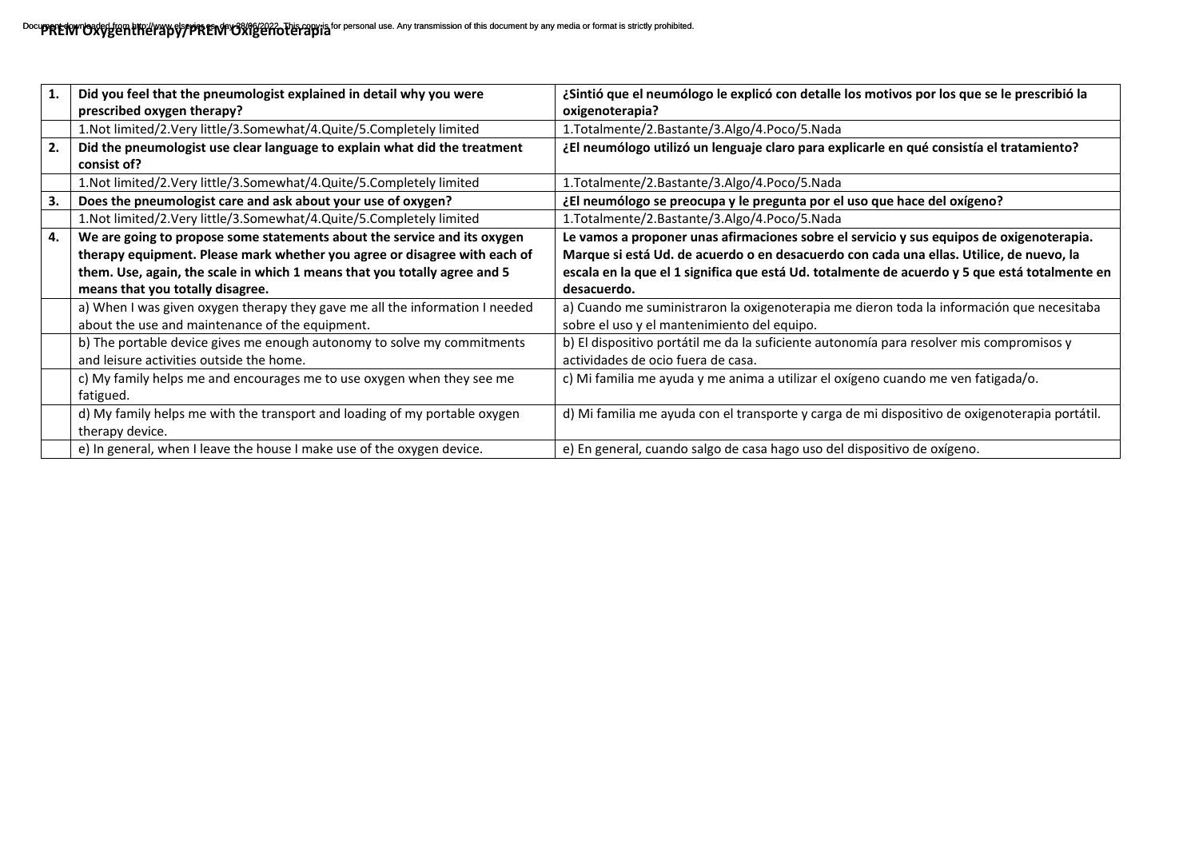|    | Did you feel that the pneumologist explained in detail why you were<br>prescribed oxygen therapy?                               | ¿Sintió que el neumólogo le explicó con detalle los motivos por los que se le prescribió la<br>oxigenoterapia?                           |
|----|---------------------------------------------------------------------------------------------------------------------------------|------------------------------------------------------------------------------------------------------------------------------------------|
|    | 1.Not limited/2.Very little/3.Somewhat/4.Quite/5.Completely limited                                                             | 1. Totalmente/2. Bastante/3. Algo/4. Poco/5. Nada                                                                                        |
| 2. | Did the pneumologist use clear language to explain what did the treatment<br>consist of?                                        | ¿El neumólogo utilizó un lenguaje claro para explicarle en qué consistía el tratamiento?                                                 |
|    | 1.Not limited/2.Very little/3.Somewhat/4.Quite/5.Completely limited                                                             | 1.Totalmente/2.Bastante/3.Algo/4.Poco/5.Nada                                                                                             |
| 3. | Does the pneumologist care and ask about your use of oxygen?                                                                    | ¿El neumólogo se preocupa y le pregunta por el uso que hace del oxígeno?                                                                 |
|    | 1.Not limited/2.Very little/3.Somewhat/4.Quite/5.Completely limited                                                             | 1.Totalmente/2.Bastante/3.Algo/4.Poco/5.Nada                                                                                             |
| 4. | We are going to propose some statements about the service and its oxygen                                                        | Le vamos a proponer unas afirmaciones sobre el servicio y sus equipos de oxigenoterapia.                                                 |
|    | therapy equipment. Please mark whether you agree or disagree with each of                                                       | Marque si está Ud. de acuerdo o en desacuerdo con cada una ellas. Utilice, de nuevo, la                                                  |
|    | them. Use, again, the scale in which 1 means that you totally agree and 5                                                       | escala en la que el 1 significa que está Ud. totalmente de acuerdo y 5 que está totalmente en                                            |
|    | means that you totally disagree.                                                                                                | desacuerdo.                                                                                                                              |
|    | a) When I was given oxygen therapy they gave me all the information I needed<br>about the use and maintenance of the equipment. | a) Cuando me suministraron la oxigenoterapia me dieron toda la información que necesitaba<br>sobre el uso y el mantenimiento del equipo. |
|    | b) The portable device gives me enough autonomy to solve my commitments                                                         | b) El dispositivo portátil me da la suficiente autonomía para resolver mis compromisos y                                                 |
|    | and leisure activities outside the home.                                                                                        | actividades de ocio fuera de casa.                                                                                                       |
|    | c) My family helps me and encourages me to use oxygen when they see me<br>fatigued.                                             | c) Mi familia me ayuda y me anima a utilizar el oxígeno cuando me ven fatigada/o.                                                        |
|    | d) My family helps me with the transport and loading of my portable oxygen<br>therapy device.                                   | d) Mi familia me ayuda con el transporte y carga de mi dispositivo de oxigenoterapia portátil.                                           |
|    | e) In general, when I leave the house I make use of the oxygen device.                                                          | e) En general, cuando salgo de casa hago uso del dispositivo de oxígeno.                                                                 |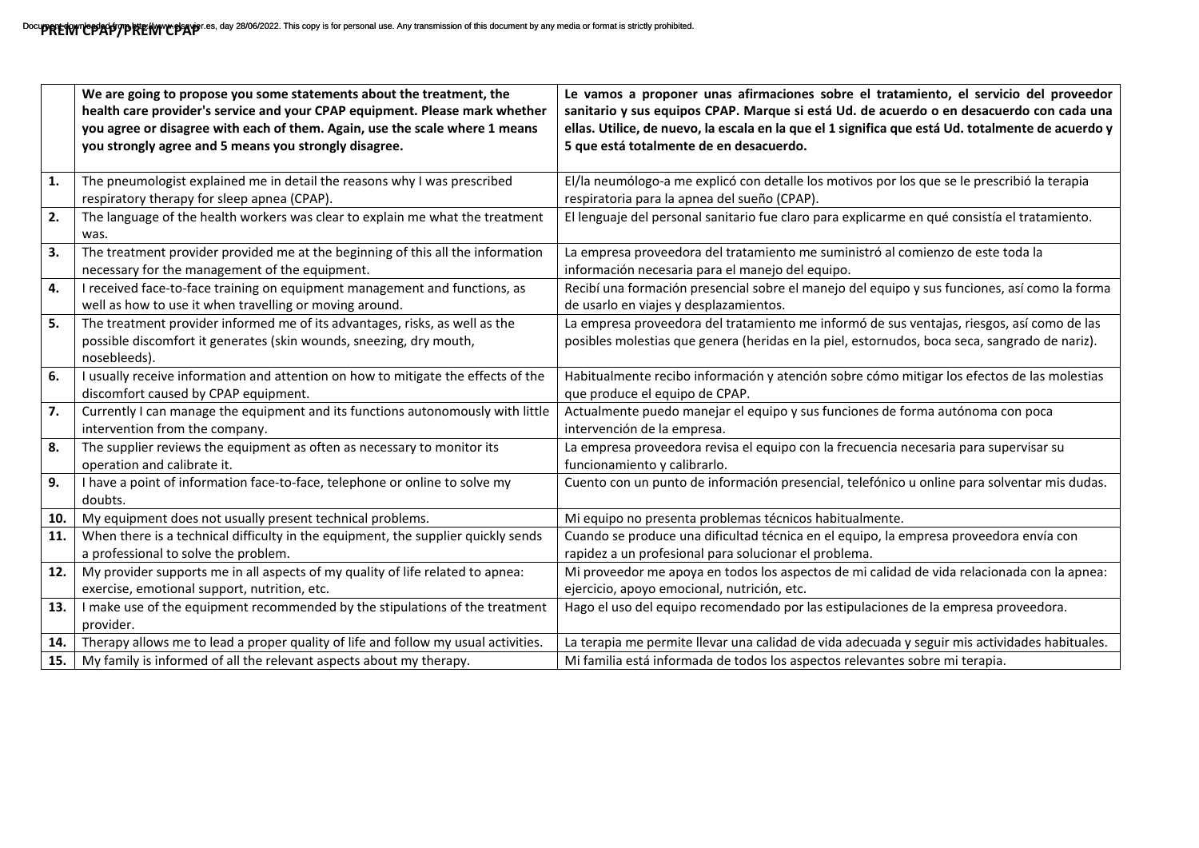|     | We are going to propose you some statements about the treatment, the<br>health care provider's service and your CPAP equipment. Please mark whether<br>you agree or disagree with each of them. Again, use the scale where 1 means<br>you strongly agree and 5 means you strongly disagree. | Le vamos a proponer unas afirmaciones sobre el tratamiento, el servicio del proveedor<br>sanitario y sus equipos CPAP. Marque si está Ud. de acuerdo o en desacuerdo con cada una<br>ellas. Utilice, de nuevo, la escala en la que el 1 significa que está Ud. totalmente de acuerdo y<br>5 que está totalmente de en desacuerdo. |
|-----|---------------------------------------------------------------------------------------------------------------------------------------------------------------------------------------------------------------------------------------------------------------------------------------------|-----------------------------------------------------------------------------------------------------------------------------------------------------------------------------------------------------------------------------------------------------------------------------------------------------------------------------------|
| 1.  | The pneumologist explained me in detail the reasons why I was prescribed<br>respiratory therapy for sleep apnea (CPAP).                                                                                                                                                                     | El/la neumólogo-a me explicó con detalle los motivos por los que se le prescribió la terapia<br>respiratoria para la apnea del sueño (CPAP).                                                                                                                                                                                      |
| 2.  | The language of the health workers was clear to explain me what the treatment<br>was.                                                                                                                                                                                                       | El lenguaje del personal sanitario fue claro para explicarme en qué consistía el tratamiento.                                                                                                                                                                                                                                     |
| 3.  | The treatment provider provided me at the beginning of this all the information<br>necessary for the management of the equipment.                                                                                                                                                           | La empresa proveedora del tratamiento me suministró al comienzo de este toda la<br>información necesaria para el manejo del equipo.                                                                                                                                                                                               |
| 4.  | I received face-to-face training on equipment management and functions, as<br>well as how to use it when travelling or moving around.                                                                                                                                                       | Recibí una formación presencial sobre el manejo del equipo y sus funciones, así como la forma<br>de usarlo en viajes y desplazamientos.                                                                                                                                                                                           |
| 5.  | The treatment provider informed me of its advantages, risks, as well as the<br>possible discomfort it generates (skin wounds, sneezing, dry mouth,<br>nosebleeds).                                                                                                                          | La empresa proveedora del tratamiento me informó de sus ventajas, riesgos, así como de las<br>posibles molestias que genera (heridas en la piel, estornudos, boca seca, sangrado de nariz).                                                                                                                                       |
| 6.  | I usually receive information and attention on how to mitigate the effects of the<br>discomfort caused by CPAP equipment.                                                                                                                                                                   | Habitualmente recibo información y atención sobre cómo mitigar los efectos de las molestias<br>que produce el equipo de CPAP.                                                                                                                                                                                                     |
| 7.  | Currently I can manage the equipment and its functions autonomously with little<br>intervention from the company.                                                                                                                                                                           | Actualmente puedo manejar el equipo y sus funciones de forma autónoma con poca<br>intervención de la empresa.                                                                                                                                                                                                                     |
| 8.  | The supplier reviews the equipment as often as necessary to monitor its<br>operation and calibrate it.                                                                                                                                                                                      | La empresa proveedora revisa el equipo con la frecuencia necesaria para supervisar su<br>funcionamiento y calibrarlo.                                                                                                                                                                                                             |
| 9.  | I have a point of information face-to-face, telephone or online to solve my<br>doubts.                                                                                                                                                                                                      | Cuento con un punto de información presencial, telefónico u online para solventar mis dudas.                                                                                                                                                                                                                                      |
| 10. | My equipment does not usually present technical problems.                                                                                                                                                                                                                                   | Mi equipo no presenta problemas técnicos habitualmente.                                                                                                                                                                                                                                                                           |
| 11. | When there is a technical difficulty in the equipment, the supplier quickly sends<br>a professional to solve the problem.                                                                                                                                                                   | Cuando se produce una dificultad técnica en el equipo, la empresa proveedora envía con<br>rapidez a un profesional para solucionar el problema.                                                                                                                                                                                   |
| 12. | My provider supports me in all aspects of my quality of life related to apnea:<br>exercise, emotional support, nutrition, etc.                                                                                                                                                              | Mi proveedor me apoya en todos los aspectos de mi calidad de vida relacionada con la apnea:<br>ejercicio, apoyo emocional, nutrición, etc.                                                                                                                                                                                        |
| 13. | I make use of the equipment recommended by the stipulations of the treatment<br>provider.                                                                                                                                                                                                   | Hago el uso del equipo recomendado por las estipulaciones de la empresa proveedora.                                                                                                                                                                                                                                               |
| 14. | Therapy allows me to lead a proper quality of life and follow my usual activities.                                                                                                                                                                                                          | La terapia me permite llevar una calidad de vida adecuada y seguir mis actividades habituales.                                                                                                                                                                                                                                    |
| 15. | My family is informed of all the relevant aspects about my therapy.                                                                                                                                                                                                                         | Mi familia está informada de todos los aspectos relevantes sobre mi terapia.                                                                                                                                                                                                                                                      |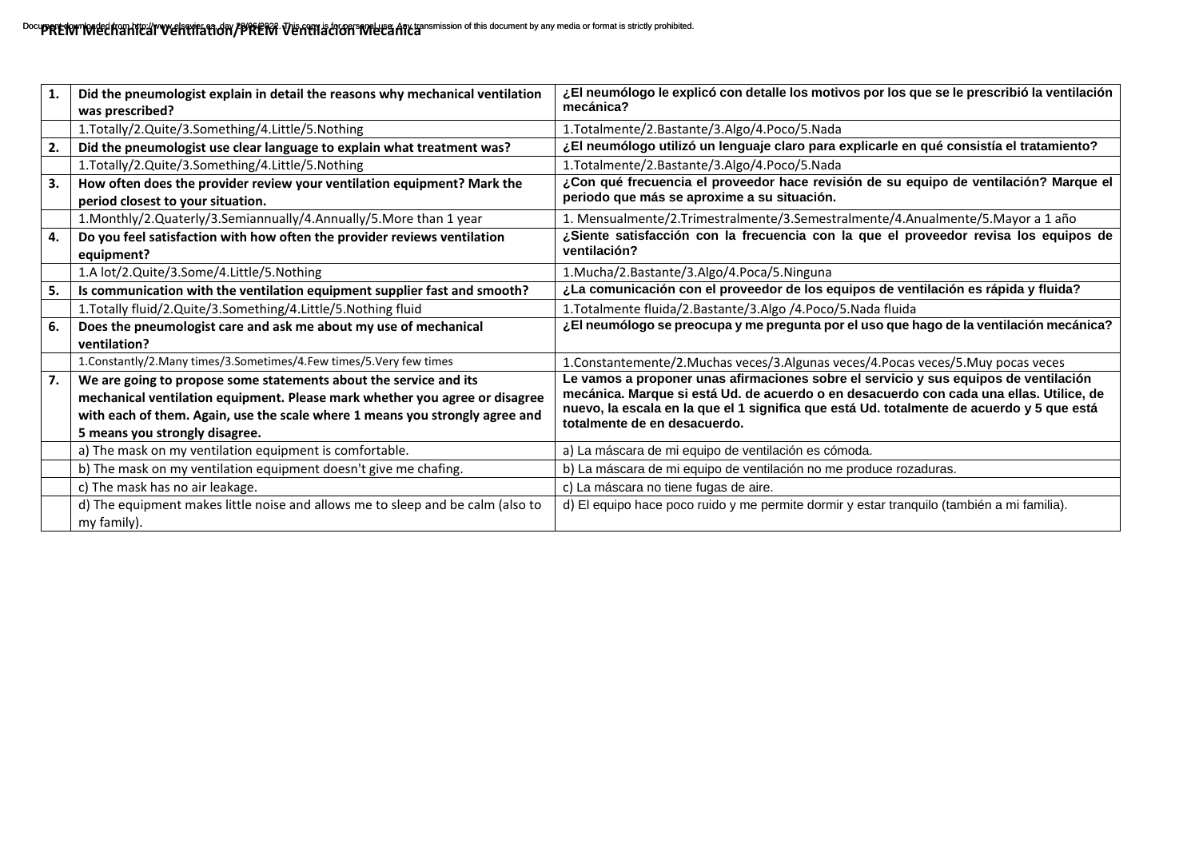| 1. | Did the pneumologist explain in detail the reasons why mechanical ventilation<br>was prescribed?                                                                                                                                                                   | ¿El neumólogo le explicó con detalle los motivos por los que se le prescribió la ventilación<br>mecánica?                                                                                                                                                                                                    |
|----|--------------------------------------------------------------------------------------------------------------------------------------------------------------------------------------------------------------------------------------------------------------------|--------------------------------------------------------------------------------------------------------------------------------------------------------------------------------------------------------------------------------------------------------------------------------------------------------------|
|    | 1.Totally/2.Quite/3.Something/4.Little/5.Nothing                                                                                                                                                                                                                   | 1. Totalmente/2. Bastante/3. Algo/4. Poco/5. Nada                                                                                                                                                                                                                                                            |
| 2. | Did the pneumologist use clear language to explain what treatment was?                                                                                                                                                                                             | ¿El neumólogo utilizó un lenguaje claro para explicarle en qué consistía el tratamiento?                                                                                                                                                                                                                     |
|    | 1.Totally/2.Quite/3.Something/4.Little/5.Nothing                                                                                                                                                                                                                   | 1.Totalmente/2.Bastante/3.Algo/4.Poco/5.Nada                                                                                                                                                                                                                                                                 |
| 3. | How often does the provider review your ventilation equipment? Mark the<br>period closest to your situation.                                                                                                                                                       | ¿Con qué frecuencia el proveedor hace revisión de su equipo de ventilación? Marque el<br>periodo que más se aproxime a su situación.                                                                                                                                                                         |
|    | 1.Monthly/2.Quaterly/3.Semiannually/4.Annually/5.More than 1 year                                                                                                                                                                                                  | 1. Mensualmente/2.Trimestralmente/3.Semestralmente/4.Anualmente/5.Mayor a 1 año                                                                                                                                                                                                                              |
| 4. | Do you feel satisfaction with how often the provider reviews ventilation<br>equipment?                                                                                                                                                                             | ¿Siente satisfacción con la frecuencia con la que el proveedor revisa los equipos de<br>ventilación?                                                                                                                                                                                                         |
|    | 1.A lot/2.Quite/3.Some/4.Little/5.Nothing                                                                                                                                                                                                                          | 1.Mucha/2.Bastante/3.Algo/4.Poca/5.Ninguna                                                                                                                                                                                                                                                                   |
| 5. | Is communication with the ventilation equipment supplier fast and smooth?                                                                                                                                                                                          | ¿La comunicación con el proveedor de los equipos de ventilación es rápida y fluida?                                                                                                                                                                                                                          |
|    | 1. Totally fluid/2. Quite/3. Something/4. Little/5. Nothing fluid                                                                                                                                                                                                  | 1. Totalmente fluida/2. Bastante/3. Algo /4. Poco/5. Nada fluida                                                                                                                                                                                                                                             |
| 6. | Does the pneumologist care and ask me about my use of mechanical<br>ventilation?                                                                                                                                                                                   | ¿El neumólogo se preocupa y me pregunta por el uso que hago de la ventilación mecánica?                                                                                                                                                                                                                      |
|    | 1. Constantly/2. Many times/3. Sometimes/4. Few times/5. Very few times                                                                                                                                                                                            | 1. Constantemente/2. Muchas veces/3. Algunas veces/4. Pocas veces/5. Muy pocas veces                                                                                                                                                                                                                         |
| 7. | We are going to propose some statements about the service and its<br>mechanical ventilation equipment. Please mark whether you agree or disagree<br>with each of them. Again, use the scale where 1 means you strongly agree and<br>5 means you strongly disagree. | Le vamos a proponer unas afirmaciones sobre el servicio y sus equipos de ventilación<br>mecánica. Marque si está Ud. de acuerdo o en desacuerdo con cada una ellas. Utilice, de<br>nuevo, la escala en la que el 1 significa que está Ud. totalmente de acuerdo y 5 que está<br>totalmente de en desacuerdo. |
|    | a) The mask on my ventilation equipment is comfortable.                                                                                                                                                                                                            | a) La máscara de mi equipo de ventilación es cómoda.                                                                                                                                                                                                                                                         |
|    | b) The mask on my ventilation equipment doesn't give me chafing.                                                                                                                                                                                                   | b) La máscara de mi equipo de ventilación no me produce rozaduras.                                                                                                                                                                                                                                           |
|    | c) The mask has no air leakage.                                                                                                                                                                                                                                    | c) La máscara no tiene fugas de aire.                                                                                                                                                                                                                                                                        |
|    | d) The equipment makes little noise and allows me to sleep and be calm (also to<br>my family).                                                                                                                                                                     | d) El equipo hace poco ruido y me permite dormir y estar tranquilo (también a mi familia).                                                                                                                                                                                                                   |